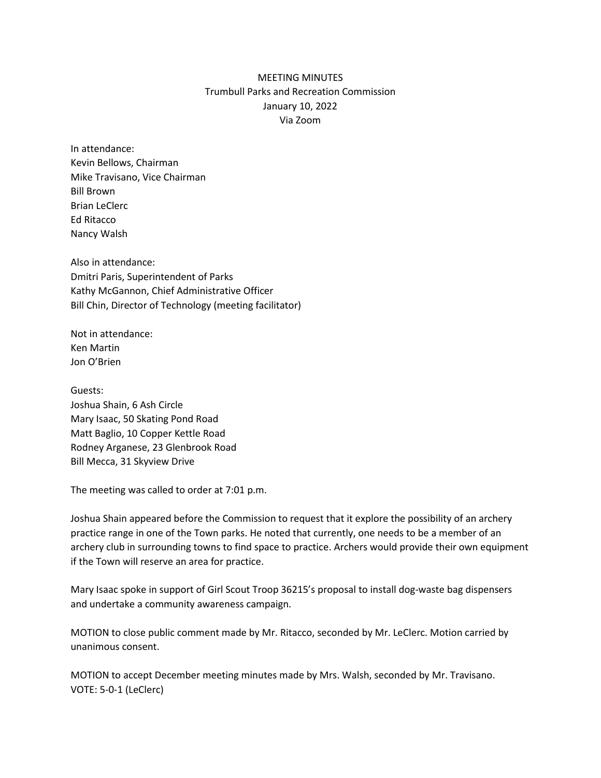## MEETING MINUTES Trumbull Parks and Recreation Commission January 10, 2022 Via Zoom

In attendance: Kevin Bellows, Chairman Mike Travisano, Vice Chairman Bill Brown Brian LeClerc Ed Ritacco Nancy Walsh

Also in attendance: Dmitri Paris, Superintendent of Parks Kathy McGannon, Chief Administrative Officer Bill Chin, Director of Technology (meeting facilitator)

Not in attendance: Ken Martin Jon O'Brien

Guests: Joshua Shain, 6 Ash Circle Mary Isaac, 50 Skating Pond Road Matt Baglio, 10 Copper Kettle Road Rodney Arganese, 23 Glenbrook Road Bill Mecca, 31 Skyview Drive

The meeting was called to order at 7:01 p.m.

Joshua Shain appeared before the Commission to request that it explore the possibility of an archery practice range in one of the Town parks. He noted that currently, one needs to be a member of an archery club in surrounding towns to find space to practice. Archers would provide their own equipment if the Town will reserve an area for practice.

Mary Isaac spoke in support of Girl Scout Troop 36215's proposal to install dog-waste bag dispensers and undertake a community awareness campaign.

MOTION to close public comment made by Mr. Ritacco, seconded by Mr. LeClerc. Motion carried by unanimous consent.

MOTION to accept December meeting minutes made by Mrs. Walsh, seconded by Mr. Travisano. VOTE: 5-0-1 (LeClerc)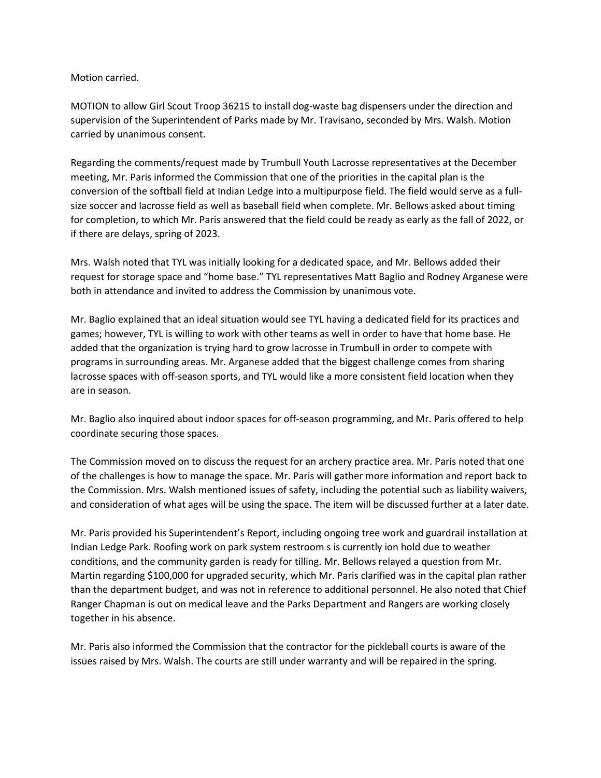Motion carried.

MOTION to allow Girl Scout Troop 36215 to install dog-waste bag dispensers under the direction and supervision of the Superintendent of Parks made by Mr. Travisano, seconded by Mrs. Walsh. Motion carried by unanimous consent.

Regarding the comments/request made by Trumbull Youth Lacrosse representatives at the December meeting, Mr. Paris informed the Commission that one of the priorities in the capital plan is the conversion of the softball field at Indian Ledge into a multipurpose field. The field would serve as a fullsize soccer and lacrosse field as well as baseball field when complete. Mr. Bellows asked about timing for completion, to which Mr. Paris answered that the field could be ready as early as the fall of 2022, or if there are delays, spring of 2023.

Mrs. Walsh noted that TYL was initially looking for a dedicated space, and Mr. Bellows added their request for storage space and "home base." TYL representatives Matt Baglio and Rodney Arganese were both in attendance and invited to address the Commission by unanimous vote.

Mr. Baglio explained that an ideal situation would see TYL having a dedicated field for its practices and games; however, TYL is willing to work with other teams as well in order to have that home base. He added that the organization is trying hard to grow lacrosse in Trumbull in order to compete with programs in surrounding areas. Mr. Arganese added that the biggest challenge comes from sharing lacrosse spaces with off-season sports, and TYL would like a more consistent field location when they are in season.

Mr. Baglio also inquired about indoor spaces for off-season programming, and Mr. Paris offered to help coordinate securing those spaces.

The Commission moved on to discuss the request for an archery practice area. Mr. Paris noted that one of the challenges is how to manage the space. Mr. Paris will gather more information and report back to the Commission. Mrs. Walsh mentioned issues of safety, including the potential such as liability waivers, and consideration of what ages will be using the space. The item will be discussed further at a later date.

Mr. Paris provided his Superintendent's Report, including ongoing tree work and guardrail installation at Indian Ledge Park. Roofing work on park system restroom s is currently ion hold due to weather conditions, and the community garden is ready for tilling. Mr. Bellows relayed a question from Mr. Martin regarding \$100,000 for upgraded security, which Mr. Paris clarified was in the capital plan rather than the department budget, and was not in reference to additional personnel. He also noted that Chief Ranger Chapman is out on medical leave and the Parks Department and Rangers are working closely together in his absence.

Mr. Paris also informed the Commission that the contractor for the pickleball courts is aware of the issues raised by Mrs. Walsh. The courts are still under warranty and will be repaired in the spring.